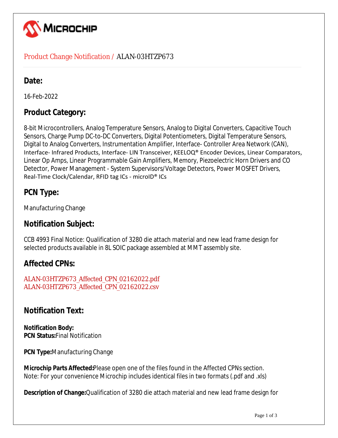

### Product Change Notification / ALAN-03HTZP673

# Date:

16-Feb-2022

# **Product Category:**

8-bit Microcontrollers, Analog Temperature Sensors, Analog to Digital Converters, Capacitive Touch Sensors, Charge Pump DC-to-DC Converters, Digital Potentiometers, Digital Temperature Sensors, Digital to Analog Converters, Instrumentation Amplifier, Interface- Controller Area Network (CAN), Interface- Infrared Products, Interface- LIN Transceiver, KEELOQ® Encoder Devices, Linear Comparators, Linear Op Amps, Linear Programmable Gain Amplifiers, Memory, Piezoelectric Horn Drivers and CO Detector, Power Management - System Supervisors/Voltage Detectors, Power MOSFET Drivers, Real-Time Clock/Calendar, RFID tag ICs - microID® ICs

# **PCN Type:**

Manufacturing Change

# **Notification Subject:**

CCB 4993 Final Notice: Qualification of 3280 die attach material and new lead frame design for selected products available in 8L SOIC package assembled at MMT assembly site.

# **Affected CPNs:**

ALAN-03HTZP673\_Affected\_CPN\_02162022.pdf ALAN-03HTZP673\_Affected\_CPN\_02162022.csv

# **Notification Text:**

**Notification Body: PCN Status:**Final Notification

**PCN Type:**Manufacturing Change

**Microchip Parts Affected:**Please open one of the files found in the Affected CPNs section. Note: For your convenience Microchip includes identical files in two formats (.pdf and .xls)

**Description of Change:**Qualification of 3280 die attach material and new lead frame design for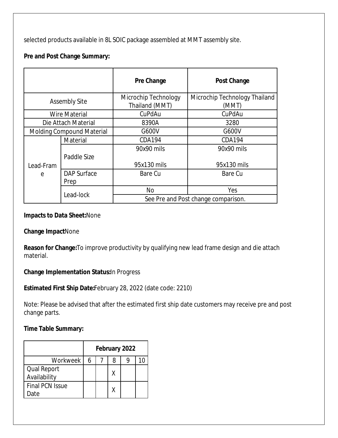selected products available in 8L SOIC package assembled at MMT assembly site.

#### **Pre and Post Change Summary:**

|                                  |                            | Pre Change                             | <b>Post Change</b>                     |
|----------------------------------|----------------------------|----------------------------------------|----------------------------------------|
| <b>Assembly Site</b>             |                            | Microchip Technology<br>Thailand (MMT) | Microchip Technology Thailand<br>(MMT) |
|                                  | <b>Wire Material</b>       | CuPdAu                                 | CuPdAu                                 |
|                                  | Die Attach Material        | 8390A                                  | 3280                                   |
| <b>Molding Compound Material</b> |                            | G600V                                  | G600V                                  |
|                                  | Material                   | CDA194                                 | <b>CDA194</b>                          |
|                                  | Paddle Size                | 90x90 mils                             | 90x90 mils                             |
| Lead-Fram                        |                            | 95x130 mils                            | 95x130 mils                            |
| $\mathsf{e}$                     | <b>DAP Surface</b><br>Prep | Bare Cu                                | Bare Cu                                |
|                                  |                            | <b>No</b>                              | Yes                                    |
|                                  | Lead-lock                  |                                        | See Pre and Post change comparison.    |

#### **Impacts to Data Sheet:**None

#### **Change Impact**None

**Reason for Change:**To improve productivity by qualifying new lead frame design and die attach material.

#### **Change Implementation Status:**In Progress

**Estimated First Ship Date:**February 28, 2022 (date code: 2210)

Note: Please be advised that after the estimated first ship date customers may receive pre and post change parts.

#### **Time Table Summary:**

|                                | February 2022 |  |   |  |  |  |
|--------------------------------|---------------|--|---|--|--|--|
| Workweek                       | 6             |  | 8 |  |  |  |
| Qual Report<br>Availability    |               |  | Χ |  |  |  |
| <b>Final PCN Issue</b><br>)ate |               |  |   |  |  |  |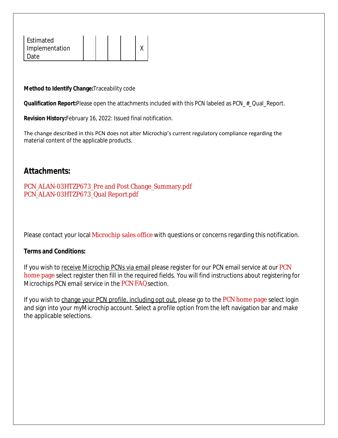| Estimated      |  |  |  |
|----------------|--|--|--|
| Implementation |  |  |  |
| Ateد           |  |  |  |

#### **Method to Identify Change:**Traceability code

**Qualification Report:**Please open the attachments included with this PCN labeled as PCN\_#\_Qual\_Report.

**Revision History:**February 16, 2022: Issued final notification.

The change described in this PCN does not alter Microchip's current regulatory compliance regarding the material content of the applicable products.

## **Attachments:**

PCN\_ALAN-03HTZP673\_Pre and Post Change\_Summary.pdf PCN\_ALAN-03HTZP673\_Qual Report.pdf

Please contact your local Microchip sales office with questions or concerns regarding this notification.

#### **Terms and Conditions:**

If you wish to receive Microchip PCNs via email please register for our PCN email service at our PCN home page select register then fill in the required fields. You will find instructions about registering for Microchips PCN email service in the PCN FAQ section.

If you wish to change your PCN profile, including opt out, please go to the PCN home page select login and sign into your myMicrochip account. Select a profile option from the left navigation bar and make the applicable selections.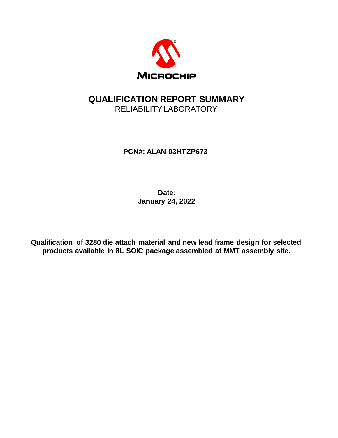

# **QUALIFICATION REPORT SUMMARY** RELIABILITYLABORATORY

**PCN#: ALAN-03HTZP673**

**Date: January 24, 2022**

**Qualification of 3280 die attach material and new lead frame design for selected products available in 8L SOIC package assembled at MMT assembly site.**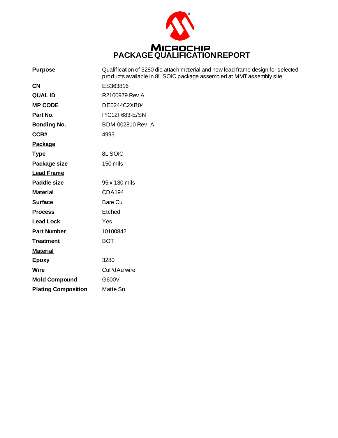

| <b>Purpose</b>             | Qualification of 3280 die attach material and new lead frame design for selected<br>products available in 8L SOIC package assembled at MMT assembly site. |
|----------------------------|-----------------------------------------------------------------------------------------------------------------------------------------------------------|
| <b>CN</b>                  | ES363816                                                                                                                                                  |
| <b>QUAL ID</b>             | R2100979 Rev A                                                                                                                                            |
| <b>MP CODE</b>             | DE0244C2XB04                                                                                                                                              |
| Part No.                   | PIC12F683-E/SN                                                                                                                                            |
| <b>Bonding No.</b>         | BDM-002810 Rev. A                                                                                                                                         |
| CCB#                       | 4993                                                                                                                                                      |
| <b>Package</b>             |                                                                                                                                                           |
| <b>Type</b>                | <b>8L SOIC</b>                                                                                                                                            |
| Package size               | 150 mils                                                                                                                                                  |
| <b>Lead Frame</b>          |                                                                                                                                                           |
| Paddle size                | 95 x 130 mils                                                                                                                                             |
| <b>Material</b>            | <b>CDA194</b>                                                                                                                                             |
| <b>Surface</b>             | Bare Cu                                                                                                                                                   |
| <b>Process</b>             | Etched                                                                                                                                                    |
| <b>Lead Lock</b>           | Yes                                                                                                                                                       |
| <b>Part Number</b>         | 10100842                                                                                                                                                  |
| <b>Treatment</b>           | <b>BOT</b>                                                                                                                                                |
| <b>Material</b>            |                                                                                                                                                           |
| <b>Epoxy</b>               | 3280                                                                                                                                                      |
| Wire                       | CuPdAu wire                                                                                                                                               |
| <b>Mold Compound</b>       | G600V                                                                                                                                                     |
| <b>Plating Composition</b> | Matte Sn                                                                                                                                                  |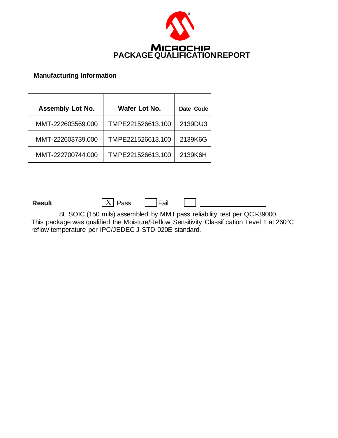

#### **Manufacturing Information**

| <b>Assembly Lot No.</b> | Wafer Lot No.     | Date Code |
|-------------------------|-------------------|-----------|
| MMT-222603569.000       | TMPE221526613.100 | 2139DU3   |
| MMT-222603739.000       | TMPE221526613.100 | 2139K6G   |
| MMT-222700744.000       | TMPE221526613.100 | 2139K6H   |

**Result**  $\boxed{X}$  Pass  $\boxed{ }$  Fail

8L SOIC (150 mils) assembled by MMT pass reliability test per QCI-39000. This package was qualified the Moisture/Reflow Sensitivity Classification Level 1 at 260°C reflow temperature per IPC/JEDEC J-STD-020E standard.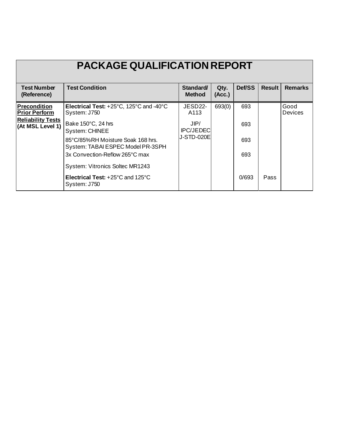| <b>PACKAGE QUALIFICATION REPORT</b>          |                                                                              |                                  |                |        |               |                        |  |
|----------------------------------------------|------------------------------------------------------------------------------|----------------------------------|----------------|--------|---------------|------------------------|--|
| <b>Test Number</b><br>(Reference)            | <b>Test Condition</b>                                                        | <b>Standard</b><br><b>Method</b> | Qty.<br>(Acc.) | Def/SS | <b>Result</b> | <b>Remarks</b>         |  |
| <b>Precondition</b><br><b>Prior Perform</b>  | Electrical Test: +25°C, 125°C and -40°C<br>System: J750                      | JESD22-<br>A113                  | 693(0)         | 693    |               | Good<br><b>Devices</b> |  |
| <b>Reliability Tests</b><br>(At MSL Level 1) | Bake 150°C, 24 hrs<br><b>System: CHINEE</b>                                  | JIP/<br><b>IPC/JEDEC</b>         |                | 693    |               |                        |  |
|                                              | 85°C/85%RH Moisture Soak 168 hrs.<br>System: TABAI ESPEC Model PR-3SPH       | J-STD-020El                      |                | 693    |               |                        |  |
|                                              | 3x Convection-Reflow 265°C max                                               |                                  |                | 693    |               |                        |  |
|                                              | System: Vitronics Soltec MR1243                                              |                                  |                |        |               |                        |  |
|                                              | <b>Electrical Test:</b> $+25^{\circ}$ C and 125 $^{\circ}$ C<br>System: J750 |                                  |                | 0/693  | Pass          |                        |  |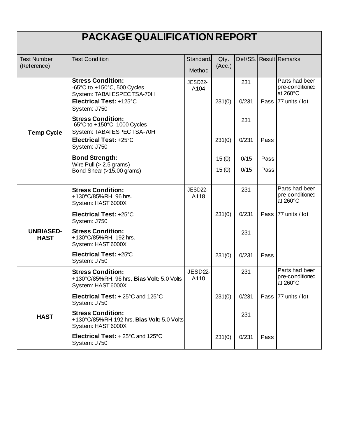| <b>PACKAGE QUALIFICATION REPORT</b> |                                                                                                                   |                 |        |              |      |                                                                 |  |
|-------------------------------------|-------------------------------------------------------------------------------------------------------------------|-----------------|--------|--------------|------|-----------------------------------------------------------------|--|
| <b>Test Number</b>                  | <b>Test Condition</b>                                                                                             | Standard/       | Qty.   |              |      | Def/SS. Result Remarks                                          |  |
| (Reference)                         |                                                                                                                   | Method          | (Acc.) |              |      |                                                                 |  |
|                                     | <b>Stress Condition:</b><br>-65°C to +150°C, 500 Cycles<br>System: TABAI ESPEC TSA-70H<br>Electrical Test: +125°C | JESD22-<br>A104 |        | 231<br>0/231 |      | Parts had been<br>pre-conditioned<br>at 260°C<br>77 units / lot |  |
|                                     | System: J750                                                                                                      |                 | 231(0) |              | Pass |                                                                 |  |
| <b>Temp Cycle</b>                   | <b>Stress Condition:</b><br>-65°C to +150°C, 1000 Cycles<br>System: TABAI ESPEC TSA-70H                           |                 |        | 231          |      |                                                                 |  |
|                                     | Electrical Test: +25°C<br>System: J750                                                                            |                 | 231(0) | 0/231        | Pass |                                                                 |  |
|                                     | <b>Bond Strength:</b>                                                                                             |                 | 15(0)  | 0/15         | Pass |                                                                 |  |
|                                     | Wire Pull $(> 2.5$ grams)<br>Bond Shear (>15.00 grams)                                                            |                 | 15(0)  | 0/15         | Pass |                                                                 |  |
|                                     |                                                                                                                   |                 |        |              |      |                                                                 |  |
|                                     | <b>Stress Condition:</b><br>+130°C/85%RH, 96 hrs.<br>System: HAST 6000X                                           | JESD22-<br>A118 |        | 231          |      | Parts had been<br>pre-conditioned<br>at $260^{\circ}$ C         |  |
|                                     | Electrical Test: +25°C<br>System: J750                                                                            |                 | 231(0) | 0/231        | Pass | 77 units / lot                                                  |  |
| <b>UNBIASED-</b><br><b>HAST</b>     | <b>Stress Condition:</b><br>+130°C/85%RH, 192 hrs.<br>System: HAST 6000X                                          |                 |        | 231          |      |                                                                 |  |
|                                     | Electrical Test: +25°C<br>System: J750                                                                            |                 | 231(0) | 0/231        | Pass |                                                                 |  |
|                                     | <b>Stress Condition:</b><br>+130°C/85%RH, 96 hrs. Bias Volt: 5.0 Volts<br>System: HAST 6000X                      | JESD22-<br>A110 |        | 231          |      | Parts had been<br>pre-conditioned<br>at 260°C                   |  |
|                                     | Electrical Test: + 25°C and 125°C<br>System: J750                                                                 |                 | 231(0) | 0/231        |      | Pass   77 units / lot                                           |  |
| <b>HAST</b>                         | <b>Stress Condition:</b><br>+130°C/85%RH,192 hrs. Bias Volt: 5.0 Volts<br>System: HAST 6000X                      |                 |        | 231          |      |                                                                 |  |
|                                     | Electrical Test: + 25°C and 125°C<br>System: J750                                                                 |                 | 231(0) | 0/231        | Pass |                                                                 |  |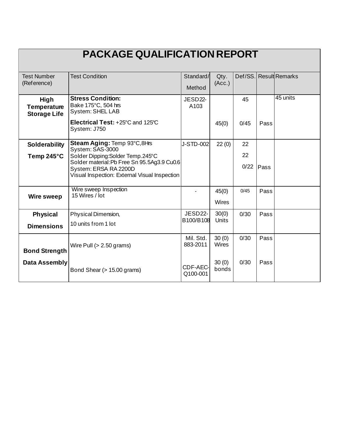| PACKAGE QUALIFICATION REPORT                      |                                                                                   |                       |                       |      |             |                        |  |
|---------------------------------------------------|-----------------------------------------------------------------------------------|-----------------------|-----------------------|------|-------------|------------------------|--|
| <b>Test Number</b><br>(Reference)                 | <b>Test Condition</b>                                                             | Standard/             | Qty.<br>(Acc.)        |      |             | Def/SS. Result Remarks |  |
|                                                   |                                                                                   | Method                |                       |      |             |                        |  |
| High<br><b>Temperature</b><br><b>Storage Life</b> | <b>Stress Condition:</b><br>Bake 175°C, 504 hrs<br><b>System: SHEL LAB</b>        | JESD22-<br>A103       |                       | 45   |             | 45 units               |  |
|                                                   | Electrical Test: +25°C and 125°C<br>System: J750                                  |                       | 45(0)                 | 0/45 | Pass        |                        |  |
| <b>Solderability</b>                              | Steam Aging: Temp 93°C, 8Hrs<br>System: SAS-3000                                  | J-STD-002             | 22(0)                 | 22   |             |                        |  |
| Temp $245^{\circ}$ C                              | Solder Dipping: Solder Temp. 245°C<br>Solder material: Pb Free Sn 95.5Ag3.9 Cu0.6 |                       |                       | 22   |             |                        |  |
|                                                   | System: ERSA RA 2200D<br>Visual Inspection: External Visual Inspection            |                       |                       | 0/22 | <b>Pass</b> |                        |  |
| <b>Wire sweep</b>                                 | Wire sweep Inspection<br>15 Wires / lot                                           |                       | 45(0)                 | 0/45 | Pass        |                        |  |
|                                                   |                                                                                   |                       | <b>Wires</b>          |      |             |                        |  |
| <b>Physical</b>                                   | Physical Dimension,                                                               | JESD22-<br>B100/B108  | 30(0)<br><b>Units</b> | 0/30 | Pass        |                        |  |
| <b>Dimensions</b>                                 | 10 units from 1 lot                                                               |                       |                       |      |             |                        |  |
| <b>Bond Strength</b>                              | Wire Pull $(> 2.50$ grams)                                                        | Mil. Std.<br>883-2011 | 30(0)<br><b>Wires</b> | 0/30 | Pass        |                        |  |
| <b>Data Assembly</b>                              | Bond Shear (> 15.00 grams)                                                        | CDF-AEC-<br>Q100-001  | 30(0)<br>bonds        | 0/30 | Pass        |                        |  |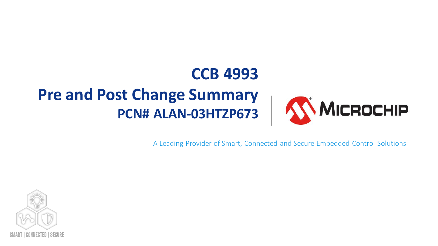# **CCB 4993 Pre and Post Change Summary MICROCHIP PCN# ALAN-03HTZP673**

A Leading Provider of Smart, Connected and Secure Embedded Control Solutions

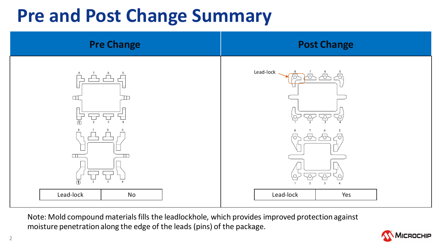# **Pre and Post Change Summary**



Note: Mold compound materials fills the leadlockhole, which provides improved protection against moisture penetration along the edge of the leads (pins) of the package.

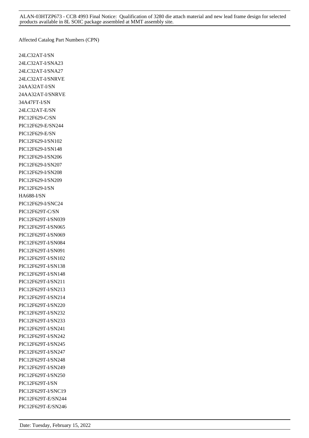Affected Catalog Part Numbers (CPN)

24LC32AT-I/SN 24LC32AT-I/SNA23 24LC32AT-I/SNA27 24LC32AT-I/SNRVE 24AA32AT-I/SN 24AA32AT-I/SNRVE 34A47FT-I/SN 24LC32AT-E/SN PIC12F629-C/SN PIC12F629-E/SN244 PIC12F629-E/SN PIC12F629-I/SN102 PIC12F629-I/SN148 PIC12F629-I/SN206 PIC12F629-I/SN207 PIC12F629-I/SN208 PIC12F629-I/SN209 PIC12F629-I/SN HA688-I/SN PIC12F629-I/SNC24 PIC12F629T-C/SN PIC12F629T-I/SN039 PIC12F629T-I/SN065 PIC12F629T-I/SN069 PIC12F629T-I/SN084 PIC12F629T-I/SN091 PIC12F629T-I/SN102 PIC12F629T-I/SN138 PIC12F629T-I/SN148 PIC12F629T-I/SN211 PIC12F629T-I/SN213 PIC12F629T-I/SN214 PIC12F629T-I/SN220 PIC12F629T-I/SN232 PIC12F629T-I/SN233 PIC12F629T-I/SN241 PIC12F629T-I/SN242 PIC12F629T-I/SN245 PIC12F629T-I/SN247 PIC12F629T-I/SN248 PIC12F629T-I/SN249 PIC12F629T-I/SN250 PIC12F629T-I/SN PIC12F629T-I/SNC19 PIC12F629T-E/SN244 PIC12F629T-E/SN246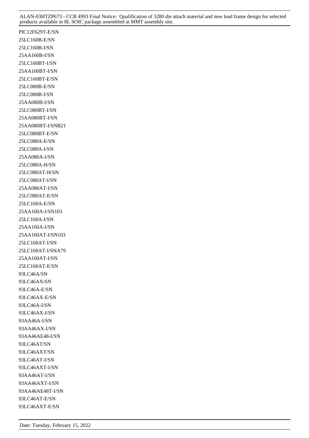PIC12F629T-E/SN 25LC160B-E/SN 25LC160B-I/SN 25AA160B-I/SN 25LC160BT-I/SN 25AA160BT-I/SN 25LC160BT-E/SN 25LC080B-E/SN 25LC080B-I/SN 25AA080B-I/SN 25LC080BT-I/SN 25AA080BT-I/SN 25AA080BT-I/SNB21 25LC080BT-E/SN 25LC080A-E/SN 25LC080A-I/SN 25AA080A-I/SN 25LC080A-H/SN 25LC080AT-H/SN 25LC080AT-I/SN 25AA080AT-I/SN 25LC080AT-E/SN 25LC160A-E/SN 25AA160A-I/SN103 25LC160A-I/SN 25AA160A-I/SN 25AA160AT-I/SN103 25LC160AT-I/SN 25LC160AT-I/SNA79 25AA160AT-I/SN 25LC160AT-E/SN 93LC46A/SN 93LC46AX/SN 93LC46A-E/SN 93LC46AX-E/SN 93LC46A-I/SN 93LC46AX-I/SN 93AA46A-I/SN 93AA46AX-I/SN 93AA46AE48-I/SN 93LC46AT/SN 93LC46AXT/SN 93LC46AT-I/SN 93LC46AXT-I/SN 93AA46AT-I/SN 93AA46AXT-I/SN 93AA46AE48T-I/SN 93LC46AT-E/SN 93LC46AXT-E/SN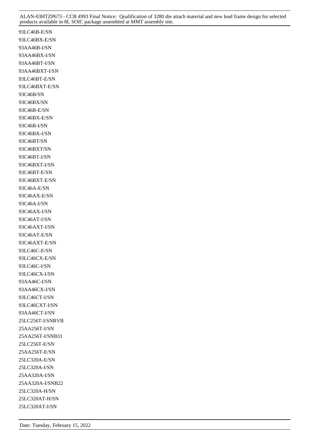93LC46B-E/SN 93LC46BX-E/SN 93AA46B-I/SN 93AA46BX-I/SN 93AA46BT-I/SN 93AA46BXT-I/SN 93LC46BT-E/SN 93LC46BXT-E/SN 93C46B/SN 93C46BX/SN 93C46B-E/SN 93C46BX-E/SN 93C46B-I/SN 93C46BX-I/SN 93C46BT/SN 93C46BXT/SN 93C46BT-I/SN 93C46BXT-I/SN 93C46BT-E/SN 93C46BXT-E/SN 93C46A-E/SN 93C46AX-E/SN 93C46A-I/SN 93C46AX-I/SN 93C46AT-I/SN 93C46AXT-I/SN 93C46AT-E/SN 93C46AXT-E/SN 93LC46C-E/SN 93LC46CX-E/SN 93LC46C-I/SN 93LC46CX-I/SN 93AA46C-I/SN 93AA46CX-I/SN 93LC46CT-I/SN 93LC46CXT-I/SN 93AA46CT-I/SN 25LC256T-I/SNRVB 25AA256T-I/SN 25AA256T-I/SNB31 25LC256T-E/SN 25AA256T-E/SN 25LC320A-E/SN 25LC320A-I/SN 25AA320A-I/SN 25AA320A-I/SNB22 25LC320A-H/SN 25LC320AT-H/SN 25LC320AT-I/SN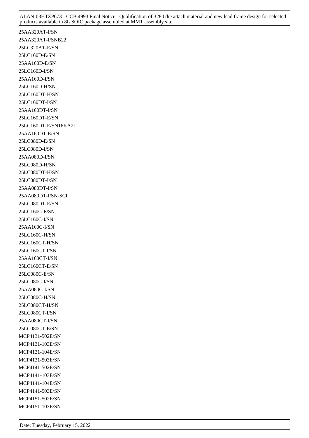25AA320AT-I/SN 25AA320AT-I/SNB22 25LC320AT-E/SN 25LC160D-E/SN 25AA160D-E/SN 25LC160D-I/SN 25AA160D-I/SN 25LC160D-H/SN 25LC160DT-H/SN 25LC160DT-I/SN 25AA160DT-I/SN 25LC160DT-E/SN 25LC160DT-E/SN16KA21 25AA160DT-E/SN 25LC080D-E/SN 25LC080D-I/SN 25AA080D-I/SN 25LC080D-H/SN 25LC080DT-H/SN 25LC080DT-I/SN 25AA080DT-I/SN 25AA080DT-I/SN-SCI 25LC080DT-E/SN 25LC160C-E/SN 25LC160C-I/SN 25AA160C-I/SN 25LC160C-H/SN 25LC160CT-H/SN 25LC160CT-I/SN 25AA160CT-I/SN 25LC160CT-E/SN 25LC080C-E/SN 25LC080C-I/SN 25AA080C-I/SN 25LC080C-H/SN 25LC080CT-H/SN 25LC080CT-I/SN 25AA080CT-I/SN 25LC080CT-E/SN MCP4131-502E/SN MCP4131-103E/SN MCP4131-104E/SN MCP4131-503E/SN MCP4141-502E/SN MCP4141-103E/SN MCP4141-104E/SN MCP4141-503E/SN MCP4151-502E/SN MCP4151-103E/SN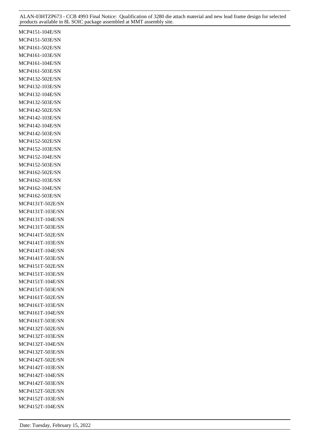MCP4151-104E/SN MCP4151-503E/SN MCP4161-502E/SN MCP4161-103E/SN MCP4161-104E/SN MCP4161-503E/SN MCP4132-502E/SN MCP4132-103E/SN MCP4132-104E/SN MCP4132-503E/SN MCP4142-502E/SN MCP4142-103E/SN MCP4142-104E/SN MCP4142-503E/SN MCP4152-502E/SN MCP4152-103E/SN MCP4152-104E/SN MCP4152-503E/SN MCP4162-502E/SN MCP4162-103E/SN MCP4162-104E/SN MCP4162-503E/SN MCP4131T-502E/SN MCP4131T-103E/SN MCP4131T-104E/SN MCP4131T-503E/SN MCP4141T-502E/SN MCP4141T-103E/SN MCP4141T-104E/SN MCP4141T-503E/SN MCP4151T-502E/SN MCP4151T-103E/SN MCP4151T-104E/SN MCP4151T-503E/SN MCP4161T-502E/SN MCP4161T-103E/SN MCP4161T-104E/SN MCP4161T-503E/SN MCP4132T-502E/SN MCP4132T-103E/SN MCP4132T-104E/SN MCP4132T-503E/SN MCP4142T-502E/SN MCP4142T-103E/SN MCP4142T-104E/SN MCP4142T-503E/SN MCP4152T-502E/SN MCP4152T-103E/SN MCP4152T-104E/SN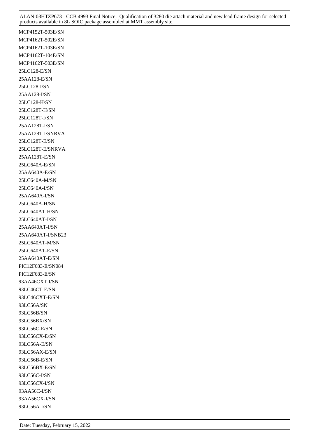MCP4152T-503E/SN MCP4162T-502E/SN MCP4162T-103E/SN MCP4162T-104E/SN MCP4162T-503E/SN 25LC128-E/SN 25AA128-E/SN 25LC128-I/SN 25AA128-I/SN 25LC128-H/SN 25LC128T-H/SN 25LC128T-I/SN 25AA128T-I/SN 25AA128T-I/SNRVA 25LC128T-E/SN 25LC128T-E/SNRVA 25AA128T-E/SN 25LC640A-E/SN 25AA640A-E/SN 25LC640A-M/SN 25LC640A-I/SN 25AA640A-I/SN 25LC640A-H/SN 25LC640AT-H/SN 25LC640AT-I/SN 25AA640AT-I/SN 25AA640AT-I/SNB23 25LC640AT-M/SN 25LC640AT-E/SN 25AA640AT-E/SN PIC12F683-E/SN084 PIC12F683-E/SN 93AA46CXT-I/SN 93LC46CT-E/SN 93LC46CXT-E/SN 93LC56A/SN 93LC56B/SN 93LC56BX/SN 93LC56C-E/SN 93LC56CX-E/SN 93LC56A-E/SN 93LC56AX-E/SN 93LC56B-E/SN 93LC56BX-E/SN 93LC56C-I/SN 93LC56CX-I/SN 93AA56C-I/SN 93AA56CX-I/SN 93LC56A-I/SN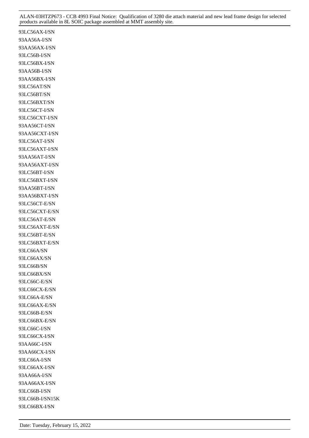93LC56AX-I/SN 93AA56A-I/SN 93AA56AX-I/SN 93LC56B-I/SN 93LC56BX-I/SN 93AA56B-I/SN 93AA56BX-I/SN 93LC56AT/SN 93LC56BT/SN 93LC56BXT/SN 93LC56CT-I/SN 93LC56CXT-I/SN 93AA56CT-I/SN 93AA56CXT-I/SN 93LC56AT-I/SN 93LC56AXT-I/SN 93AA56AT-I/SN 93AA56AXT-I/SN 93LC56BT-I/SN 93LC56BXT-I/SN 93AA56BT-I/SN 93AA56BXT-I/SN 93LC56CT-E/SN 93LC56CXT-E/SN 93LC56AT-E/SN 93LC56AXT-E/SN 93LC56BT-E/SN 93LC56BXT-E/SN 93LC66A/SN 93LC66AX/SN 93LC66B/SN 93LC66BX/SN 93LC66C-E/SN 93LC66CX-E/SN 93LC66A-E/SN 93LC66AX-E/SN 93LC66B-E/SN 93LC66BX-E/SN 93LC66C-I/SN 93LC66CX-I/SN 93AA66C-I/SN 93AA66CX-I/SN 93LC66A-I/SN 93LC66AX-I/SN 93AA66A-I/SN 93AA66AX-I/SN 93LC66B-I/SN 93LC66B-I/SN15K 93LC66BX-I/SN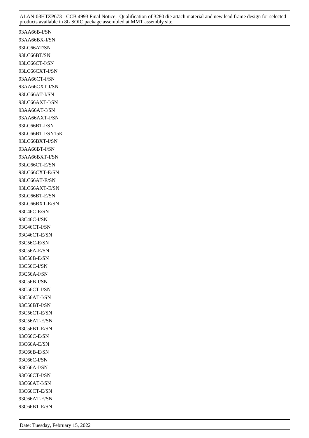93AA66B-I/SN 93AA66BX-I/SN 93LC66AT/SN 93LC66BT/SN 93LC66CT-I/SN 93LC66CXT-I/SN 93AA66CT-I/SN 93AA66CXT-I/SN 93LC66AT-I/SN 93LC66AXT-I/SN 93AA66AT-I/SN 93AA66AXT-I/SN 93LC66BT-I/SN 93LC66BT-I/SN15K 93LC66BXT-I/SN 93AA66BT-I/SN 93AA66BXT-I/SN 93LC66CT-E/SN 93LC66CXT-E/SN 93LC66AT-E/SN 93LC66AXT-E/SN 93LC66BT-E/SN 93LC66BXT-E/SN 93C46C-E/SN 93C46C-I/SN 93C46CT-I/SN 93C46CT-E/SN 93C56C-E/SN 93C56A-E/SN 93C56B-E/SN 93C56C-I/SN 93C56A-I/SN 93C56B-I/SN 93C56CT-I/SN 93C56AT-I/SN 93C56BT-I/SN 93C56CT-E/SN 93C56AT-E/SN 93C56BT-E/SN 93C66C-E/SN 93C66A-E/SN 93C66B-E/SN 93C66C-I/SN 93C66A-I/SN 93C66CT-I/SN 93C66AT-I/SN 93C66CT-E/SN 93C66AT-E/SN 93C66BT-E/SN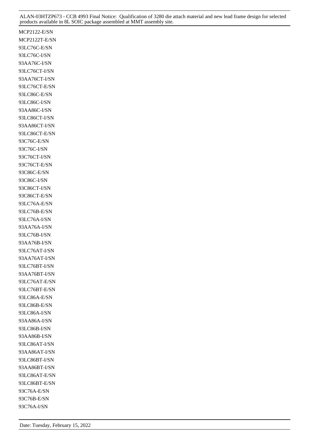MCP2122-E/SN MCP2122T-E/SN 93LC76C-E/SN 93LC76C-I/SN 93AA76C-I/SN 93LC76CT-I/SN 93AA76CT-I/SN 93LC76CT-E/SN 93LC86C-E/SN 93LC86C-I/SN 93AA86C-I/SN 93LC86CT-I/SN 93AA86CT-I/SN 93LC86CT-E/SN 93C76C-E/SN 93C76C-I/SN 93C76CT-I/SN 93C76CT-E/SN 93C86C-E/SN 93C86C-I/SN 93C86CT-I/SN 93C86CT-E/SN 93LC76A-E/SN 93LC76B-E/SN 93LC76A-I/SN 93AA76A-I/SN 93LC76B-I/SN 93AA76B-I/SN 93LC76AT-I/SN 93AA76AT-I/SN 93LC76BT-I/SN 93AA76BT-I/SN 93LC76AT-E/SN 93LC76BT-E/SN 93LC86A-E/SN 93LC86B-E/SN 93LC86A-I/SN 93AA86A-I/SN 93LC86B-I/SN 93AA86B-I/SN 93LC86AT-I/SN 93AA86AT-I/SN 93LC86BT-I/SN 93AA86BT-I/SN 93LC86AT-E/SN 93LC86BT-E/SN 93C76A-E/SN 93C76B-E/SN 93C76A-I/SN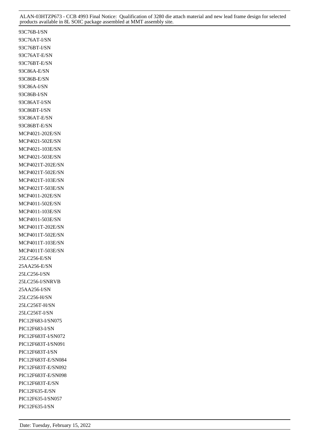93C76B-I/SN 93C76AT-I/SN 93C76BT-I/SN 93C76AT-E/SN 93C76BT-E/SN 93C86A-E/SN 93C86B-E/SN 93C86A-I/SN 93C86B-I/SN 93C86AT-I/SN 93C86BT-I/SN 93C86AT-E/SN 93C86BT-E/SN MCP4021-202E/SN MCP4021-502E/SN MCP4021-103E/SN MCP4021-503E/SN MCP4021T-202E/SN MCP4021T-502E/SN MCP4021T-103E/SN MCP4021T-503E/SN MCP4011-202E/SN MCP4011-502E/SN MCP4011-103E/SN MCP4011-503E/SN MCP4011T-202E/SN MCP4011T-502E/SN MCP4011T-103E/SN MCP4011T-503E/SN 25LC256-E/SN 25AA256-E/SN 25LC256-I/SN 25LC256-I/SNRVB 25AA256-I/SN 25LC256-H/SN 25LC256T-H/SN 25LC256T-I/SN PIC12F683-I/SN075 PIC12F683-I/SN PIC12F683T-I/SN072 PIC12F683T-I/SN091 PIC12F683T-I/SN PIC12F683T-E/SN084 PIC12F683T-E/SN092 PIC12F683T-E/SN098 PIC12F683T-E/SN PIC12F635-E/SN PIC12F635-I/SN057 PIC12F635-I/SN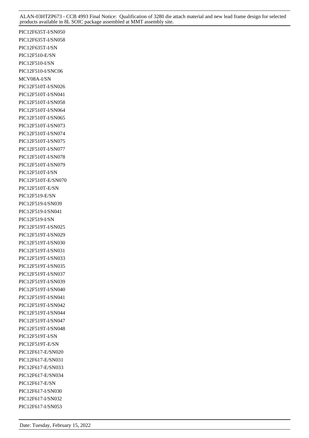PIC12F635T-I/SN050 PIC12F635T-I/SN058 PIC12F635T-I/SN PIC12F510-E/SN PIC12F510-I/SN PIC12F510-I/SNC06 MCV08A-I/SN PIC12F510T-I/SN026 PIC12F510T-I/SN041 PIC12F510T-I/SN058 PIC12F510T-I/SN064 PIC12F510T-I/SN065 PIC12F510T-I/SN073 PIC12F510T-I/SN074 PIC12F510T-I/SN075 PIC12F510T-I/SN077 PIC12F510T-I/SN078 PIC12F510T-I/SN079 PIC12F510T-I/SN PIC12F510T-E/SN070 PIC12F510T-E/SN PIC12F519-E/SN PIC12F519-I/SN039 PIC12F519-I/SN041 PIC12F519-I/SN PIC12F519T-I/SN025 PIC12F519T-I/SN029 PIC12F519T-I/SN030 PIC12F519T-I/SN031 PIC12F519T-I/SN033 PIC12F519T-I/SN035 PIC12F519T-I/SN037 PIC12F519T-I/SN039 PIC12F519T-I/SN040 PIC12F519T-I/SN041 PIC12F519T-I/SN042 PIC12F519T-I/SN044 PIC12F519T-I/SN047 PIC12F519T-I/SN048 PIC12F519T-I/SN PIC12F519T-E/SN PIC12F617-E/SN020 PIC12F617-E/SN031 PIC12F617-E/SN033 PIC12F617-E/SN034 PIC12F617-E/SN PIC12F617-I/SN030 PIC12F617-I/SN032 PIC12F617-I/SN053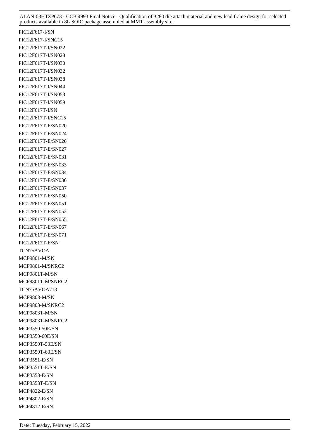PIC12F617-I/SN PIC12F617-I/SNC15 PIC12F617T-I/SN022 PIC12F617T-I/SN028 PIC12F617T-I/SN030 PIC12F617T-I/SN032 PIC12F617T-I/SN038 PIC12F617T-I/SN044 PIC12F617T-I/SN053 PIC12F617T-I/SN059 PIC12F617T-I/SN PIC12F617T-I/SNC15 PIC12F617T-E/SN020 PIC12F617T-E/SN024 PIC12F617T-E/SN026 PIC12F617T-E/SN027 PIC12F617T-E/SN031 PIC12F617T-E/SN033 PIC12F617T-E/SN034 PIC12F617T-E/SN036 PIC12F617T-E/SN037 PIC12F617T-E/SN050 PIC12F617T-E/SN051 PIC12F617T-E/SN052 PIC12F617T-E/SN055 PIC12F617T-E/SN067 PIC12F617T-E/SN071 PIC12F617T-E/SN TCN75AVOA MCP9801-M/SN MCP9801-M/SNRC2 MCP9801T-M/SN MCP9801T-M/SNRC2 TCN75AVOA713 MCP9803-M/SN MCP9803-M/SNRC2 MCP9803T-M/SN MCP9803T-M/SNRC2 MCP3550-50E/SN MCP3550-60E/SN MCP3550T-50E/SN MCP3550T-60E/SN MCP3551-E/SN MCP3551T-E/SN MCP3553-E/SN MCP3553T-E/SN MCP4822-E/SN MCP4802-E/SN MCP4812-E/SN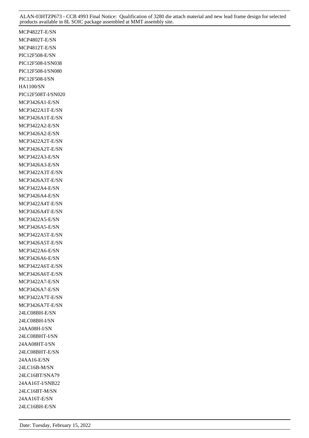MCP4822T-E/SN MCP4802T-E/SN MCP4812T-E/SN PIC12F508-E/SN PIC12F508-I/SN038 PIC12F508-I/SN080 PIC12F508-I/SN HA1100/SN PIC12F508T-I/SN020 MCP3426A1-E/SN MCP3422A1T-E/SN MCP3426A1T-E/SN MCP3422A2-E/SN MCP3426A2-E/SN MCP3422A2T-E/SN MCP3426A2T-E/SN MCP3422A3-E/SN MCP3426A3-E/SN MCP3422A3T-E/SN MCP3426A3T-E/SN MCP3422A4-E/SN MCP3426A4-E/SN MCP3422A4T-E/SN MCP3426A4T-E/SN MCP3422A5-E/SN MCP3426A5-E/SN MCP3422A5T-E/SN MCP3426A5T-E/SN MCP3422A6-E/SN MCP3426A6-E/SN MCP3422A6T-E/SN MCP3426A6T-E/SN MCP3422A7-E/SN MCP3426A7-E/SN MCP3422A7T-E/SN MCP3426A7T-E/SN 24LC08BH-E/SN 24LC08BH-I/SN 24AA08H-I/SN 24LC08BHT-I/SN 24AA08HT-I/SN 24LC08BHT-E/SN 24AA16-E/SN 24LC16B-M/SN 24LC16BT/SNA79 24AA16T-I/SNB22 24LC16BT-M/SN 24AA16T-E/SN 24LC16BH-E/SN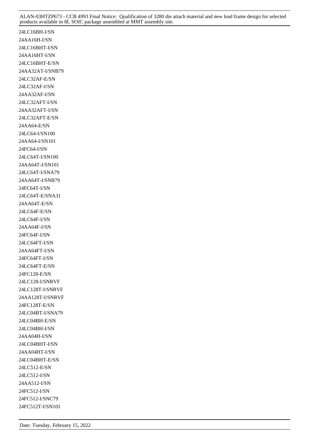24LC16BH-I/SN 24AA16H-I/SN 24LC16BHT-I/SN 24AA16HT-I/SN 24LC16BHT-E/SN 24AA32AT-I/SNB79 24LC32AF-E/SN 24LC32AF-I/SN 24AA32AF-I/SN 24LC32AFT-I/SN 24AA32AFT-I/SN 24LC32AFT-E/SN 24AA64-E/SN 24LC64-I/SN100 24AA64-I/SN101 24FC64-I/SN 24LC64T-I/SN100 24AA64T-I/SN101 24LC64T-I/SNA79 24AA64T-I/SNB79 24FC64T-I/SN 24LC64T-E/SNA31 24AA64T-E/SN 24LC64F-E/SN 24LC64F-I/SN 24AA64F-I/SN 24FC64F-I/SN 24LC64FT-I/SN 24AA64FT-I/SN 24FC64FT-I/SN 24LC64FT-E/SN 24FC128-E/SN 24LC128-I/SNRVF 24LC128T-I/SNRVF 24AA128T-I/SNRVF 24FC128T-E/SN 24LC04BT-I/SNA79 24LC04BH-E/SN 24LC04BH-I/SN 24AA04H-I/SN 24LC04BHT-I/SN 24AA04HT-I/SN 24LC04BHT-E/SN 24LC512-E/SN 24LC512-I/SN 24AA512-I/SN 24FC512-I/SN 24FC512-I/SNC79 24FC512T-I/SN101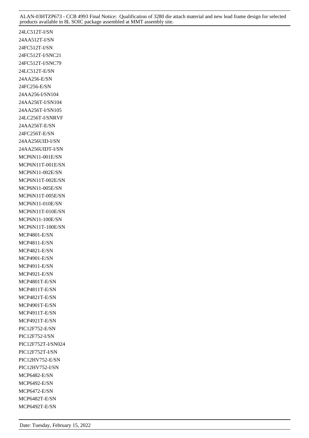24LC512T-I/SN 24AA512T-I/SN 24FC512T-I/SN 24FC512T-I/SNC21 24FC512T-I/SNC79 24LC512T-E/SN 24AA256-E/SN 24FC256-E/SN 24AA256-I/SN104 24AA256T-I/SN104 24AA256T-I/SN105 24LC256T-I/SNRVF 24AA256T-E/SN 24FC256T-E/SN 24AA256UID-I/SN 24AA256UIDT-I/SN MCP6N11-001E/SN MCP6N11T-001E/SN MCP6N11-002E/SN MCP6N11T-002E/SN MCP6N11-005E/SN MCP6N11T-005E/SN MCP6N11-010E/SN MCP6N11T-010E/SN MCP6N11-100E/SN MCP6N11T-100E/SN MCP4801-E/SN MCP4811-E/SN MCP4821-E/SN MCP4901-E/SN MCP4911-E/SN MCP4921-E/SN MCP4801T-E/SN MCP4811T-E/SN MCP4821T-E/SN MCP4901T-E/SN MCP4911T-E/SN MCP4921T-E/SN PIC12F752-E/SN PIC12F752-I/SN PIC12F752T-I/SN024 PIC12F752T-I/SN PIC12HV752-E/SN PIC12HV752-I/SN MCP6482-E/SN MCP6492-E/SN MCP6472-E/SN MCP6482T-E/SN MCP6492T-E/SN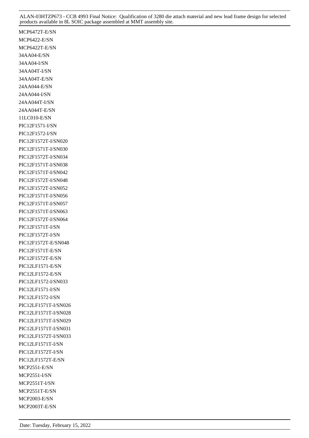MCP6472T-E/SN MCP6422-E/SN MCP6422T-E/SN 34AA04-E/SN 34AA04-I/SN 34AA04T-I/SN 34AA04T-E/SN 24AA044-E/SN 24AA044-I/SN 24AA044T-I/SN 24AA044T-E/SN 11LC010-E/SN PIC12F1571-I/SN PIC12F1572-I/SN PIC12F1572T-I/SN020 PIC12F1571T-I/SN030 PIC12F1572T-I/SN034 PIC12F1571T-I/SN038 PIC12F1571T-I/SN042 PIC12F1572T-I/SN048 PIC12F1572T-I/SN052 PIC12F1571T-I/SN056 PIC12F1571T-I/SN057 PIC12F1571T-I/SN063 PIC12F1572T-I/SN064 PIC12F1571T-I/SN PIC12F1572T-I/SN PIC12F1572T-E/SN048 PIC12F1571T-E/SN PIC12F1572T-E/SN PIC12LF1571-E/SN PIC12LF1572-E/SN PIC12LF1572-I/SN033 PIC12LF1571-I/SN PIC12LF1572-I/SN PIC12LF1571T-I/SN026 PIC12LF1571T-I/SN028 PIC12LF1571T-I/SN029 PIC12LF1571T-I/SN031 PIC12LF1572T-I/SN033 PIC12LF1571T-I/SN PIC12LF1572T-I/SN PIC12LF1572T-E/SN MCP2551-E/SN MCP2551-I/SN MCP2551T-I/SN MCP2551T-E/SN MCP2003-E/SN MCP2003T-E/SN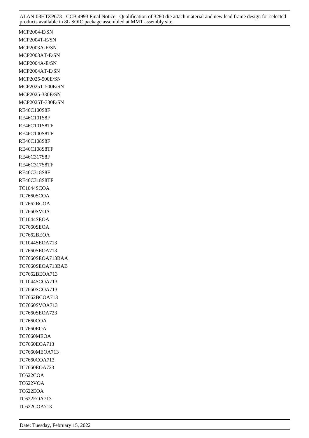MCP2004-E/SN MCP2004T-E/SN MCP2003A-E/SN MCP2003AT-E/SN MCP2004A-E/SN MCP2004AT-E/SN MCP2025-500E/SN MCP2025T-500E/SN MCP2025-330E/SN MCP2025T-330E/SN RE46C100S8F RE46C101S8F RE46C101S8TF RE46C100S8TF RE46C108S8F RE46C108S8TF RE46C317S8F RE46C317S8TF RE46C318S8F RE46C318S8TF TC1044SCOA TC7660SCOA TC7662BCOA TC7660SVOA TC1044SEOA TC7660SEOA TC7662BEOA TC1044SEOA713 TC7660SEOA713 TC7660SEOA713BAA TC7660SEOA713BAB TC7662BEOA713 TC1044SCOA713 TC7660SCOA713 TC7662BCOA713 TC7660SVOA713 TC7660SEOA723 TC7660COA TC7660EOA TC7660MEOA TC7660EOA713 TC7660MEOA713 TC7660COA713 TC7660EOA723 TC622COA TC622VOA TC622EOA TC622EOA713 TC622COA713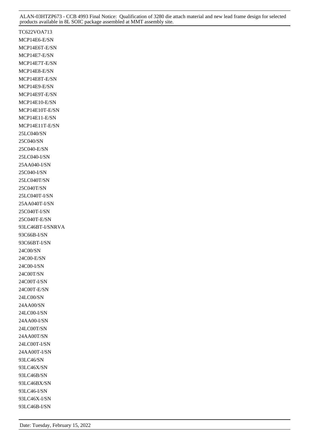TC622VOA713 MCP14E6-E/SN MCP14E6T-E/SN MCP14E7-E/SN MCP14E7T-E/SN MCP14E8-E/SN MCP14E8T-E/SN MCP14E9-E/SN MCP14E9T-E/SN MCP14E10-E/SN MCP14E10T-E/SN MCP14E11-E/SN MCP14E11T-E/SN 25LC040/SN 25C040/SN 25C040-E/SN 25LC040-I/SN 25AA040-I/SN 25C040-I/SN 25LC040T/SN 25C040T/SN 25LC040T-I/SN 25AA040T-I/SN 25C040T-I/SN 25C040T-E/SN 93LC46BT-I/SNRVA 93C66B-I/SN 93C66BT-I/SN 24C00/SN 24C00-E/SN 24C00-I/SN 24C00T/SN 24C00T-I/SN 24C00T-E/SN 24LC00/SN 24AA00/SN 24LC00-I/SN 24AA00-I/SN 24LC00T/SN 24AA00T/SN 24LC00T-I/SN 24AA00T-I/SN 93LC46/SN 93LC46X/SN 93LC46B/SN 93LC46BX/SN 93LC46-I/SN 93LC46X-I/SN 93LC46B-I/SN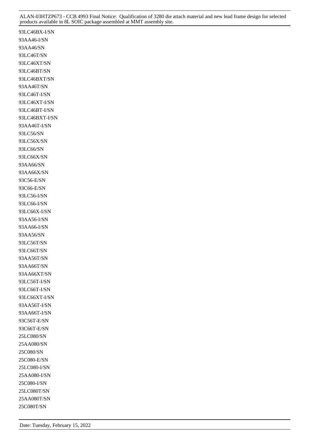93LC46BX-I/SN 93AA46-I/SN 93AA46/SN 93LC46T/SN 93LC46XT/SN 93LC46BT/SN 93LC46BXT/SN 93AA46T/SN 93LC46T-I/SN 93LC46XT-I/SN 93LC46BT-I/SN 93LC46BXT-I/SN 93AA46T-I/SN 93LC56/SN 93LC56X/SN 93LC66/SN 93LC66X/SN 93AA66/SN 93AA66X/SN 93C56-E/SN 93C66-E/SN 93LC56-I/SN 93LC66-I/SN 93LC66X-I/SN 93AA56-I/SN 93AA66-I/SN 93AA56/SN 93LC56T/SN 93LC66T/SN 93AA56T/SN 93AA66T/SN 93AA66XT/SN 93LC56T-I/SN 93LC66T-I/SN 93LC66XT-I/SN 93AA56T-I/SN 93AA66T-I/SN 93C56T-E/SN 93C66T-E/SN 25LC080/SN 25AA080/SN 25C080/SN 25C080-E/SN 25LC080-I/SN 25AA080-I/SN 25C080-I/SN 25LC080T/SN 25AA080T/SN 25C080T/SN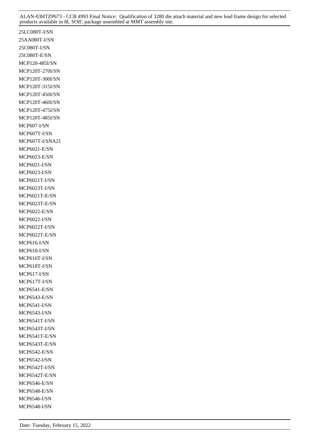25LC080T-I/SN 25AA080T-I/SN 25C080T-I/SN 25C080T-E/SN MCP120-485I/SN MCP120T-270I/SN MCP120T-300I/SN MCP120T-315I/SN MCP120T-450I/SN MCP120T-460I/SN MCP120T-475I/SN MCP120T-485I/SN MCP607-I/SN MCP607T-I/SN MCP607T-I/SNA21 MCP6021-E/SN MCP6023-E/SN MCP6021-I/SN MCP6023-I/SN MCP6021T-I/SN MCP6023T-I/SN MCP6021T-E/SN MCP6023T-E/SN MCP6022-E/SN MCP6022-I/SN MCP6022T-I/SN MCP6022T-E/SN MCP616-I/SN MCP618-I/SN MCP616T-I/SN MCP618T-I/SN MCP617-I/SN MCP617T-I/SN MCP6541-E/SN MCP6543-E/SN MCP6541-I/SN MCP6543-I/SN MCP6541T-I/SN MCP6543T-I/SN MCP6541T-E/SN MCP6543T-E/SN MCP6542-E/SN MCP6542-I/SN MCP6542T-I/SN MCP6542T-E/SN MCP6546-E/SN MCP6548-E/SN MCP6546-I/SN MCP6548-I/SN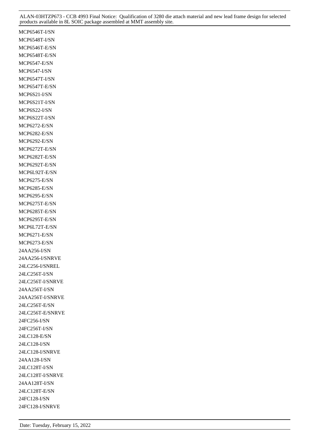MCP6546T-I/SN MCP6548T-I/SN MCP6546T-E/SN MCP6548T-E/SN MCP6547-E/SN MCP6547-I/SN MCP6547T-I/SN MCP6547T-E/SN MCP6S21-I/SN MCP6S21T-I/SN MCP6S22-I/SN MCP6S22T-I/SN MCP6272-E/SN MCP6282-E/SN MCP6292-E/SN MCP6272T-E/SN MCP6282T-E/SN MCP6292T-E/SN MCP6L92T-E/SN MCP6275-E/SN MCP6285-E/SN MCP6295-E/SN MCP6275T-E/SN MCP6285T-E/SN MCP6295T-E/SN MCP6L72T-E/SN MCP6271-E/SN MCP6273-E/SN 24AA256-I/SN 24AA256-I/SNRVE 24LC256-I/SNREL 24LC256T-I/SN 24LC256T-I/SNRVE 24AA256T-I/SN 24AA256T-I/SNRVE 24LC256T-E/SN 24LC256T-E/SNRVE 24FC256-I/SN 24FC256T-I/SN 24LC128-E/SN 24LC128-I/SN 24LC128-I/SNRVE 24AA128-I/SN 24LC128T-I/SN 24LC128T-I/SNRVE 24AA128T-I/SN 24LC128T-E/SN 24FC128-I/SN 24FC128-I/SNRVE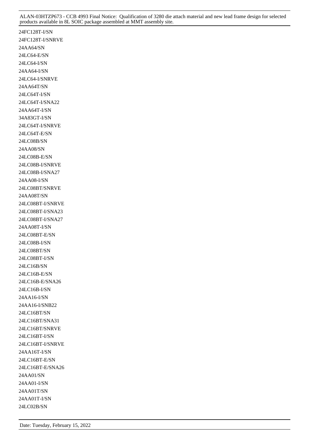24FC128T-I/SN 24FC128T-I/SNRVE 24AA64/SN 24LC64-E/SN 24LC64-I/SN 24AA64-I/SN 24LC64-I/SNRVE 24AA64T/SN 24LC64T-I/SN 24LC64T-I/SNA22 24AA64T-I/SN 34A83GT-I/SN 24LC64T-I/SNRVE 24LC64T-E/SN 24LC08B/SN 24AA08/SN 24LC08B-E/SN 24LC08B-I/SNRVE 24LC08B-I/SNA27 24AA08-I/SN 24LC08BT/SNRVE 24AA08T/SN 24LC08BT-I/SNRVE 24LC08BT-I/SNA23 24LC08BT-I/SNA27 24AA08T-I/SN 24LC08BT-E/SN 24LC08B-I/SN 24LC08BT/SN 24LC08BT-I/SN 24LC16B/SN 24LC16B-E/SN 24LC16B-E/SNA26 24LC16B-I/SN 24AA16-I/SN 24AA16-I/SNB22 24LC16BT/SN 24LC16BT/SNA31 24LC16BT/SNRVE 24LC16BT-I/SN 24LC16BT-I/SNRVE 24AA16T-I/SN 24LC16BT-E/SN 24LC16BT-E/SNA26 24AA01/SN 24AA01-I/SN 24AA01T/SN 24AA01T-I/SN 24LC02B/SN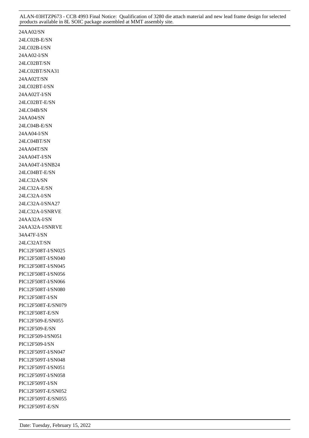24AA02/SN 24LC02B-E/SN 24LC02B-I/SN 24AA02-I/SN 24LC02BT/SN 24LC02BT/SNA31 24AA02T/SN 24LC02BT-I/SN 24AA02T-I/SN 24LC02BT-E/SN 24LC04B/SN 24AA04/SN 24LC04B-E/SN 24AA04-I/SN 24LC04BT/SN 24AA04T/SN 24AA04T-I/SN 24AA04T-I/SNB24 24LC04BT-E/SN 24LC32A/SN 24LC32A-E/SN 24LC32A-I/SN 24LC32A-I/SNA27 24LC32A-I/SNRVE 24AA32A-I/SN 24AA32A-I/SNRVE 34A47F-I/SN 24LC32AT/SN PIC12F508T-I/SN025 PIC12F508T-I/SN040 PIC12F508T-I/SN045 PIC12F508T-I/SN056 PIC12F508T-I/SN066 PIC12F508T-I/SN080 PIC12F508T-I/SN PIC12F508T-E/SN079 PIC12F508T-E/SN PIC12F509-E/SN055 PIC12F509-E/SN PIC12F509-I/SN051 PIC12F509-I/SN PIC12F509T-I/SN047 PIC12F509T-I/SN048 PIC12F509T-I/SN051 PIC12F509T-I/SN058 PIC12F509T-I/SN PIC12F509T-E/SN052 PIC12F509T-E/SN055 PIC12F509T-E/SN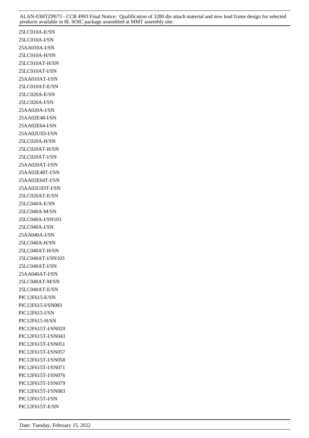25LC010A-E/SN 25LC010A-I/SN 25AA010A-I/SN 25LC010A-H/SN 25LC010AT-H/SN 25LC010AT-I/SN 25AA010AT-I/SN 25LC010AT-E/SN 25LC020A-E/SN 25LC020A-I/SN 25AA020A-I/SN 25AA02E48-I/SN 25AA02E64-I/SN 25AA02UID-I/SN 25LC020A-H/SN 25LC020AT-H/SN 25LC020AT-I/SN 25AA020AT-I/SN 25AA02E48T-I/SN 25AA02E64T-I/SN 25AA02UIDT-I/SN 25LC020AT-E/SN 25LC040A-E/SN 25LC040A-M/SN 25LC040A-I/SN103 25LC040A-I/SN 25AA040A-I/SN 25LC040A-H/SN 25LC040AT-H/SN 25LC040AT-I/SN103 25LC040AT-I/SN 25AA040AT-I/SN 25LC040AT-M/SN 25LC040AT-E/SN PIC12F615-E/SN PIC12F615-I/SN083 PIC12F615-I/SN PIC12F615-H/SN PIC12F615T-I/SN020 PIC12F615T-I/SN043 PIC12F615T-I/SN051 PIC12F615T-I/SN057 PIC12F615T-I/SN058 PIC12F615T-I/SN071 PIC12F615T-I/SN076 PIC12F615T-I/SN079 PIC12F615T-I/SN083 PIC12F615T-I/SN PIC12F615T-E/SN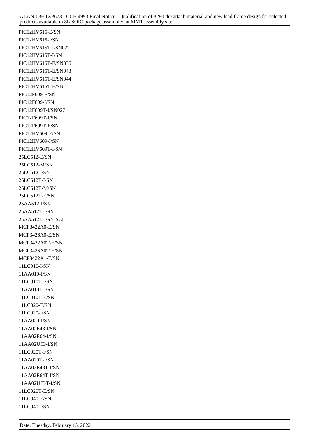PIC12HV615-E/SN PIC12HV615-I/SN PIC12HV615T-I/SN022 PIC12HV615T-I/SN PIC12HV615T-E/SN035 PIC12HV615T-E/SN043 PIC12HV615T-E/SN044 PIC12HV615T-E/SN PIC12F609-E/SN PIC12F609-I/SN PIC12F609T-I/SN027 PIC12F609T-I/SN PIC12F609T-E/SN PIC12HV609-E/SN PIC12HV609-I/SN PIC12HV609T-I/SN 25LC512-E/SN 25LC512-M/SN 25LC512-I/SN 25LC512T-I/SN 25LC512T-M/SN 25LC512T-E/SN 25AA512-I/SN 25AA512T-I/SN 25AA512T-I/SN-SCI MCP3422A0-E/SN MCP3426A0-E/SN MCP3422A0T-E/SN MCP3426A0T-E/SN MCP3422A1-E/SN 11LC010-I/SN 11AA010-I/SN 11LC010T-I/SN 11AA010T-I/SN 11LC010T-E/SN 11LC020-E/SN 11LC020-I/SN 11AA020-I/SN 11AA02E48-I/SN 11AA02E64-I/SN 11AA02UID-I/SN 11LC020T-I/SN 11AA020T-I/SN 11AA02E48T-I/SN 11AA02E64T-I/SN 11AA02UIDT-I/SN 11LC020T-E/SN 11LC040-E/SN 11LC040-I/SN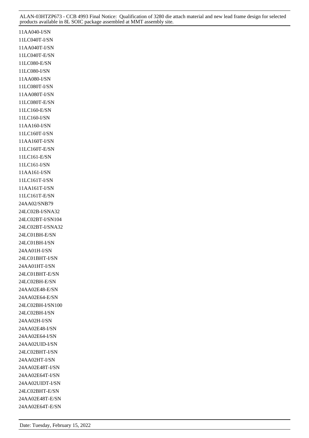11AA040-I/SN 11LC040T-I/SN 11AA040T-I/SN 11LC040T-E/SN 11LC080-E/SN 11LC080-I/SN 11AA080-I/SN 11LC080T-I/SN 11AA080T-I/SN 11LC080T-E/SN 11LC160-E/SN 11LC160-I/SN 11AA160-I/SN 11LC160T-I/SN 11AA160T-I/SN 11LC160T-E/SN 11LC161-E/SN 11LC161-I/SN 11AA161-I/SN 11LC161T-I/SN 11AA161T-I/SN 11LC161T-E/SN 24AA02/SNB79 24LC02B-I/SNA32 24LC02BT-I/SN104 24LC02BT-I/SNA32 24LC01BH-E/SN 24LC01BH-I/SN 24AA01H-I/SN 24LC01BHT-I/SN 24AA01HT-I/SN 24LC01BHT-E/SN 24LC02BH-E/SN 24AA02E48-E/SN 24AA02E64-E/SN 24LC02BH-I/SN100 24LC02BH-I/SN 24AA02H-I/SN 24AA02E48-I/SN 24AA02E64-I/SN 24AA02UID-I/SN 24LC02BHT-I/SN 24AA02HT-I/SN 24AA02E48T-I/SN 24AA02E64T-I/SN 24AA02UIDT-I/SN 24LC02BHT-E/SN 24AA02E48T-E/SN 24AA02E64T-E/SN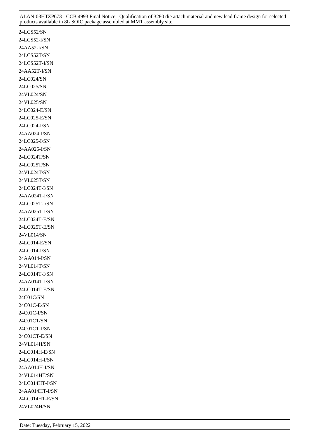24LCS52/SN 24LCS52-I/SN 24AA52-I/SN 24LCS52T/SN 24LCS52T-I/SN 24AA52T-I/SN 24LC024/SN 24LC025/SN 24VL024/SN 24VL025/SN 24LC024-E/SN 24LC025-E/SN 24LC024-I/SN 24AA024-I/SN 24LC025-I/SN 24AA025-I/SN 24LC024T/SN 24LC025T/SN 24VL024T/SN 24VL025T/SN 24LC024T-I/SN 24AA024T-I/SN 24LC025T-I/SN 24AA025T-I/SN 24LC024T-E/SN 24LC025T-E/SN 24VL014/SN 24LC014-E/SN 24LC014-I/SN 24AA014-I/SN 24VL014T/SN 24LC014T-I/SN 24AA014T-I/SN 24LC014T-E/SN 24C01C/SN 24C01C-E/SN 24C01C-I/SN 24C01CT/SN 24C01CT-I/SN 24C01CT-E/SN 24VL014H/SN 24LC014H-E/SN 24LC014H-I/SN 24AA014H-I/SN 24VL014HT/SN 24LC014HT-I/SN 24AA014HT-I/SN 24LC014HT-E/SN 24VL024H/SN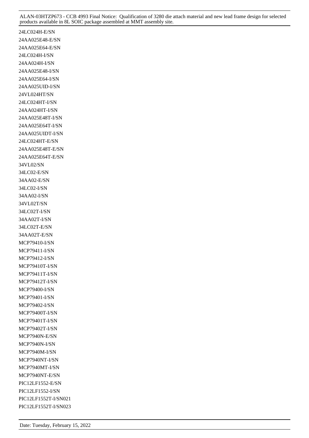24LC024H-E/SN 24AA025E48-E/SN 24AA025E64-E/SN 24LC024H-I/SN 24AA024H-I/SN 24AA025E48-I/SN 24AA025E64-I/SN 24AA025UID-I/SN 24VL024HT/SN 24LC024HT-I/SN 24AA024HT-I/SN 24AA025E48T-I/SN 24AA025E64T-I/SN 24AA025UIDT-I/SN 24LC024HT-E/SN 24AA025E48T-E/SN 24AA025E64T-E/SN 34VL02/SN 34LC02-E/SN 34AA02-E/SN 34LC02-I/SN 34AA02-I/SN 34VL02T/SN 34LC02T-I/SN 34AA02T-I/SN 34LC02T-E/SN 34AA02T-E/SN MCP79410-I/SN MCP79411-I/SN MCP79412-I/SN MCP79410T-I/SN MCP79411T-I/SN MCP79412T-I/SN MCP79400-I/SN MCP79401-I/SN MCP79402-I/SN MCP79400T-I/SN MCP79401T-I/SN MCP79402T-I/SN MCP7940N-E/SN MCP7940N-I/SN MCP7940M-I/SN MCP7940NT-I/SN MCP7940MT-I/SN MCP7940NT-E/SN PIC12LF1552-E/SN PIC12LF1552-I/SN PIC12LF1552T-I/SN021 PIC12LF1552T-I/SN023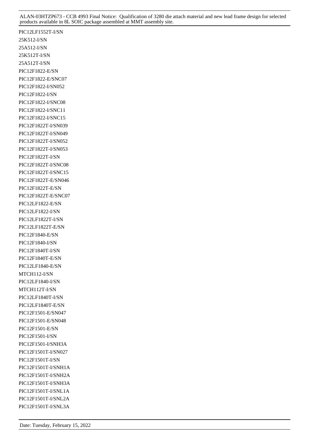PIC12LF1552T-I/SN 25K512-I/SN 25A512-I/SN 25K512T-I/SN 25A512T-I/SN PIC12F1822-E/SN PIC12F1822-E/SNC07 PIC12F1822-I/SN052 PIC12F1822-I/SN PIC12F1822-I/SNC08 PIC12F1822-I/SNC11 PIC12F1822-I/SNC15 PIC12F1822T-I/SN039 PIC12F1822T-I/SN049 PIC12F1822T-I/SN052 PIC12F1822T-I/SN053 PIC12F1822T-I/SN PIC12F1822T-I/SNC08 PIC12F1822T-I/SNC15 PIC12F1822T-E/SN046 PIC12F1822T-E/SN PIC12F1822T-E/SNC07 PIC12LF1822-E/SN PIC12LF1822-I/SN PIC12LF1822T-I/SN PIC12LF1822T-E/SN PIC12F1840-E/SN PIC12F1840-I/SN PIC12F1840T-I/SN PIC12F1840T-E/SN PIC12LF1840-E/SN MTCH112-I/SN PIC12LF1840-I/SN MTCH112T-I/SN PIC12LF1840T-I/SN PIC12LF1840T-E/SN PIC12F1501-E/SN047 PIC12F1501-E/SN048 PIC12F1501-E/SN PIC12F1501-I/SN PIC12F1501-I/SNH3A PIC12F1501T-I/SN027 PIC12F1501T-I/SN PIC12F1501T-I/SNH1A PIC12F1501T-I/SNH2A PIC12F1501T-I/SNH3A PIC12F1501T-I/SNL1A PIC12F1501T-I/SNL2A PIC12F1501T-I/SNL3A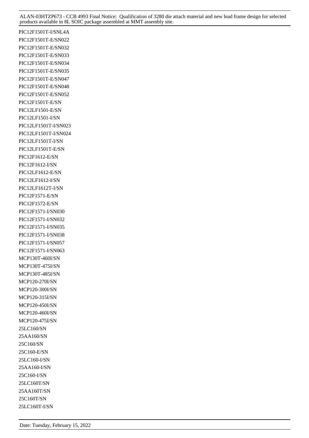PIC12F1501T-I/SNL4A PIC12F1501T-E/SN022 PIC12F1501T-E/SN032 PIC12F1501T-E/SN033 PIC12F1501T-E/SN034 PIC12F1501T-E/SN035 PIC12F1501T-E/SN047 PIC12F1501T-E/SN048 PIC12F1501T-E/SN052 PIC12F1501T-E/SN PIC12LF1501-E/SN PIC12LF1501-I/SN PIC12LF1501T-I/SN023 PIC12LF1501T-I/SN024 PIC12LF1501T-I/SN PIC12LF1501T-E/SN PIC12F1612-E/SN PIC12F1612-I/SN PIC12LF1612-E/SN PIC12LF1612-I/SN PIC12LF1612T-I/SN PIC12F1571-E/SN PIC12F1572-E/SN PIC12F1571-I/SN030 PIC12F1571-I/SN032 PIC12F1571-I/SN035 PIC12F1571-I/SN038 PIC12F1571-I/SN057 PIC12F1571-I/SN063 MCP130T-460I/SN MCP130T-475I/SN MCP130T-485I/SN MCP120-270I/SN MCP120-300I/SN MCP120-315I/SN MCP120-450I/SN MCP120-460I/SN MCP120-475I/SN 25LC160/SN 25AA160/SN 25C160/SN 25C160-E/SN 25LC160-I/SN 25AA160-I/SN 25C160-I/SN 25LC160T/SN 25AA160T/SN 25C160T/SN 25LC160T-I/SN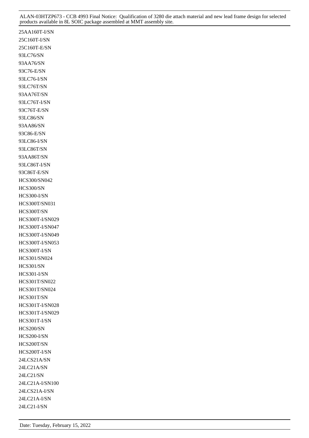25AA160T-I/SN 25C160T-I/SN 25C160T-E/SN 93LC76/SN 93AA76/SN 93C76-E/SN 93LC76-I/SN 93LC76T/SN 93AA76T/SN 93LC76T-I/SN 93C76T-E/SN 93LC86/SN 93AA86/SN 93C86-E/SN 93LC86-I/SN 93LC86T/SN 93AA86T/SN 93LC86T-I/SN 93C86T-E/SN HCS300/SN042 HCS300/SN HCS300-I/SN HCS300T/SN031 HCS300T/SN HCS300T-I/SN029 HCS300T-I/SN047 HCS300T-I/SN049 HCS300T-I/SN053 HCS300T-I/SN HCS301/SN024 HCS301/SN HCS301-I/SN HCS301T/SN022 HCS301T/SN024 HCS301T/SN HCS301T-I/SN028 HCS301T-I/SN029 HCS301T-I/SN HCS200/SN HCS200-I/SN HCS200T/SN HCS200T-I/SN 24LCS21A/SN 24LC21A/SN 24LC21/SN 24LC21A-I/SN100 24LCS21A-I/SN 24LC21A-I/SN 24LC21-I/SN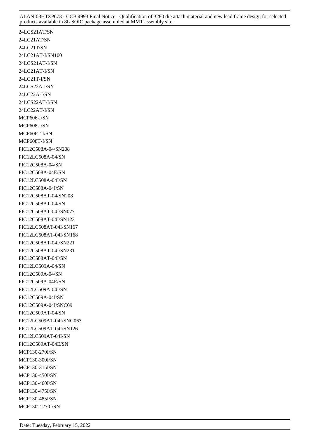24LCS21AT/SN 24LC21AT/SN 24LC21T/SN 24LC21AT-I/SN100 24LCS21AT-I/SN 24LC21AT-I/SN 24LC21T-I/SN 24LCS22A-I/SN 24LC22A-I/SN 24LCS22AT-I/SN 24LC22AT-I/SN MCP606-I/SN MCP608-I/SN MCP606T-I/SN MCP608T-I/SN PIC12C508A-04/SN208 PIC12LC508A-04/SN PIC12C508A-04/SN PIC12C508A-04E/SN PIC12LC508A-04I/SN PIC12C508A-04I/SN PIC12C508AT-04/SN208 PIC12C508AT-04/SN PIC12C508AT-04I/SN077 PIC12C508AT-04I/SN123 PIC12LC508AT-04I/SN167 PIC12LC508AT-04I/SN168 PIC12C508AT-04I/SN221 PIC12C508AT-04I/SN231 PIC12C508AT-04I/SN PIC12LC509A-04/SN PIC12C509A-04/SN PIC12C509A-04E/SN PIC12LC509A-04I/SN PIC12C509A-04I/SN PIC12C509A-04I/SNC09 PIC12C509AT-04/SN PIC12LC509AT-04I/SNG063 PIC12LC509AT-04I/SN126 PIC12LC509AT-04I/SN PIC12C509AT-04E/SN MCP130-270I/SN MCP130-300I/SN MCP130-315I/SN MCP130-450I/SN MCP130-460I/SN MCP130-475I/SN MCP130-485I/SN MCP130T-270I/SN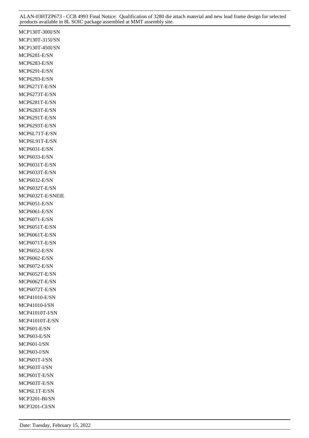MCP130T-300I/SN MCP130T-315I/SN MCP130T-450I/SN MCP6281-E/SN MCP6283-E/SN MCP6291-E/SN MCP6293-E/SN MCP6271T-E/SN MCP6273T-E/SN MCP6281T-E/SN MCP6283T-E/SN MCP6291T-E/SN MCP6293T-E/SN MCP6L71T-E/SN MCP6L91T-E/SN MCP6031-E/SN MCP6033-E/SN MCP6031T-E/SN MCP6033T-E/SN MCP6032-E/SN MCP6032T-E/SN MCP6032T-E/SNEIE MCP6051-E/SN MCP6061-E/SN MCP6071-E/SN MCP6051T-E/SN MCP6061T-E/SN MCP6071T-E/SN MCP6052-E/SN MCP6062-E/SN MCP6072-E/SN MCP6052T-E/SN MCP6062T-E/SN MCP6072T-E/SN MCP41010-E/SN MCP41010-I/SN MCP41010T-I/SN MCP41010T-E/SN MCP601-E/SN MCP603-E/SN MCP601-I/SN MCP603-I/SN MCP601T-I/SN MCP603T-I/SN MCP601T-E/SN MCP603T-E/SN MCP6L1T-E/SN MCP3201-BI/SN MCP3201-CI/SN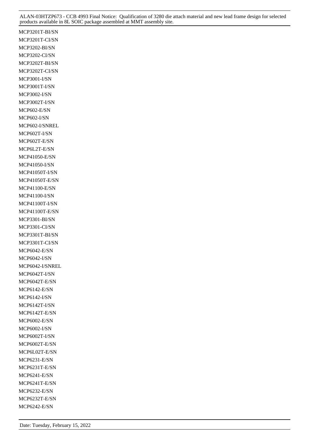MCP3201T-BI/SN MCP3201T-CI/SN MCP3202-BI/SN MCP3202-CI/SN MCP3202T-BI/SN MCP3202T-CI/SN MCP3001-I/SN MCP3001T-I/SN MCP3002-I/SN MCP3002T-I/SN MCP602-E/SN MCP602-I/SN MCP602-I/SNREL MCP602T-I/SN MCP602T-E/SN MCP6L2T-E/SN MCP41050-E/SN MCP41050-I/SN MCP41050T-I/SN MCP41050T-E/SN MCP41100-E/SN MCP41100-I/SN MCP41100T-I/SN MCP41100T-E/SN MCP3301-BI/SN MCP3301-CI/SN MCP3301T-BI/SN MCP3301T-CI/SN MCP6042-E/SN MCP6042-I/SN MCP6042-I/SNREL MCP6042T-I/SN MCP6042T-E/SN MCP6142-E/SN MCP6142-I/SN MCP6142T-I/SN MCP6142T-E/SN MCP6002-E/SN MCP6002-I/SN MCP6002T-I/SN MCP6002T-E/SN MCP6L02T-E/SN MCP6231-E/SN MCP6231T-E/SN MCP6241-E/SN MCP6241T-E/SN MCP6232-E/SN MCP6232T-E/SN MCP6242-E/SN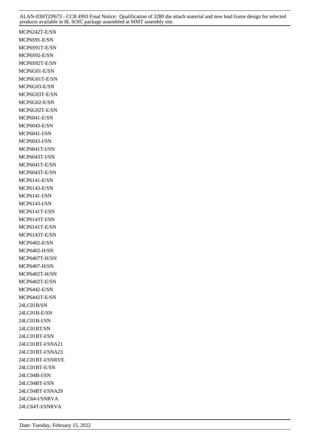MCP6242T-E/SN MCP6S91-E/SN MCP6S91T-E/SN MCP6S92-E/SN MCP6S92T-E/SN MCP6G01-E/SN MCP6G01T-E/SN MCP6G03-E/SN MCP6G03T-E/SN MCP6G02-E/SN MCP6G02T-E/SN MCP6041-E/SN MCP6043-E/SN MCP6041-I/SN MCP6043-I/SN MCP6041T-I/SN MCP6043T-I/SN MCP6041T-E/SN MCP6043T-E/SN MCP6141-E/SN MCP6143-E/SN MCP6141-I/SN MCP6143-I/SN MCP6141T-I/SN MCP6143T-I/SN MCP6141T-E/SN MCP6143T-E/SN MCP6402-E/SN MCP6402-H/SN MCP6407T-H/SN MCP6407-H/SN MCP6402T-H/SN MCP6402T-E/SN MCP6442-E/SN MCP6442T-E/SN 24LC01B/SN 24LC01B-E/SN 24LC01B-I/SN 24LC01BT/SN 24LC01BT-I/SN 24LC01BT-I/SNA21 24LC01BT-I/SNA23 24LC01BT-I/SNRVE 24LC01BT-E/SN 24LC04B-I/SN 24LC04BT-I/SN 24LC04BT-I/SNA29 24LC64-I/SNRVA 24LC64T-I/SNRVA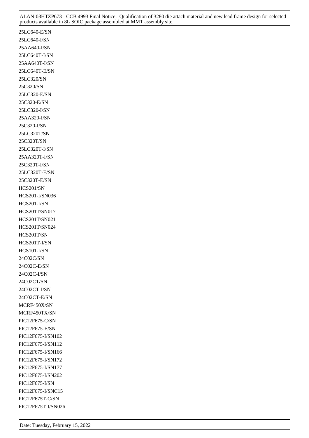25LC640-E/SN 25LC640-I/SN 25AA640-I/SN 25LC640T-I/SN 25AA640T-I/SN 25LC640T-E/SN 25LC320/SN 25C320/SN 25LC320-E/SN 25C320-E/SN 25LC320-I/SN 25AA320-I/SN 25C320-I/SN 25LC320T/SN 25C320T/SN 25LC320T-I/SN 25AA320T-I/SN 25C320T-I/SN 25LC320T-E/SN 25C320T-E/SN HCS201/SN HCS201-I/SN036 HCS201-I/SN HCS201T/SN017 HCS201T/SN021 HCS201T/SN024 HCS201T/SN HCS201T-I/SN HCS101-I/SN 24C02C/SN 24C02C-E/SN 24C02C-I/SN 24C02CT/SN 24C02CT-I/SN 24C02CT-E/SN MCRF450X/SN MCRF450TX/SN PIC12F675-C/SN PIC12F675-E/SN PIC12F675-I/SN102 PIC12F675-I/SN112 PIC12F675-I/SN166 PIC12F675-I/SN172 PIC12F675-I/SN177 PIC12F675-I/SN202 PIC12F675-I/SN PIC12F675-I/SNC15 PIC12F675T-C/SN PIC12F675T-I/SN026